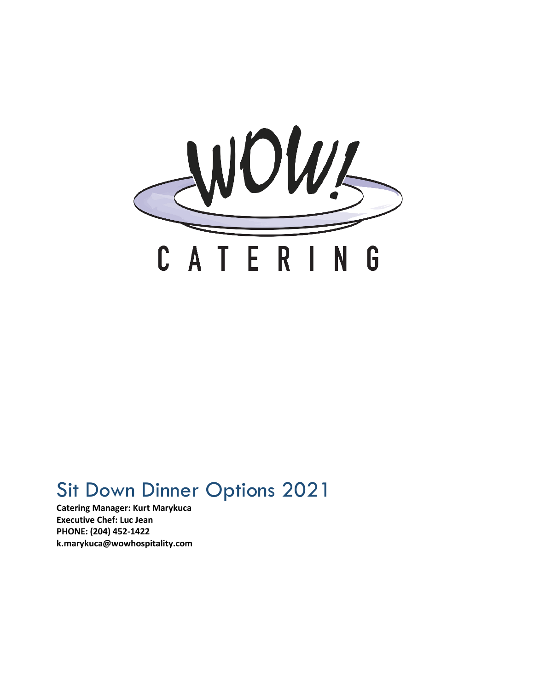

# Sit Down Dinner Options 2021

**Catering Manager: Kurt Marykuca Executive Chef: Luc Jean PHONE: (204) 452-1422 k.marykuca@wowhospitality.com**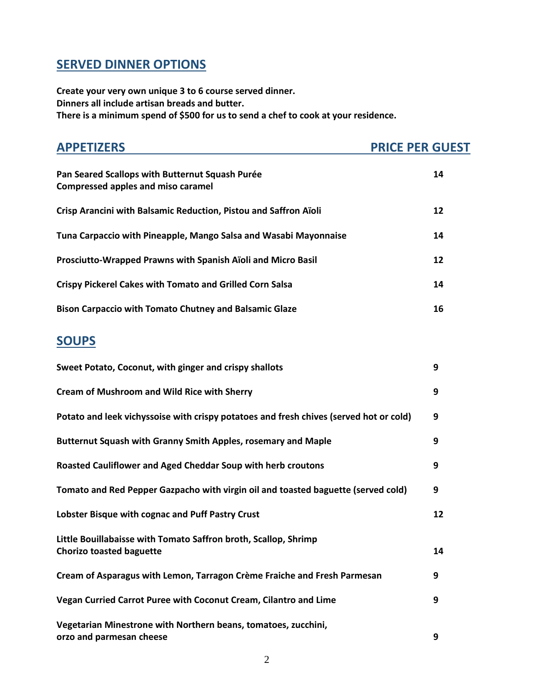## **SERVED DINNER OPTIONS**

**Create your very own unique 3 to 6 course served dinner. Dinners all include artisan breads and butter. There is a minimum spend of \$500 for us to send a chef to cook at your residence.**

| <b>APPETIZERS</b>                                                                                  | <b>PRICE PER GUEST</b> |
|----------------------------------------------------------------------------------------------------|------------------------|
| Pan Seared Scallops with Butternut Squash Purée<br><b>Compressed apples and miso caramel</b>       | 14                     |
| Crisp Arancini with Balsamic Reduction, Pistou and Saffron Aïoli                                   | 12                     |
| Tuna Carpaccio with Pineapple, Mango Salsa and Wasabi Mayonnaise                                   | 14                     |
| Prosciutto-Wrapped Prawns with Spanish Aïoli and Micro Basil                                       | 12                     |
| <b>Crispy Pickerel Cakes with Tomato and Grilled Corn Salsa</b>                                    | 14                     |
| <b>Bison Carpaccio with Tomato Chutney and Balsamic Glaze</b>                                      | 16                     |
| <b>SOUPS</b>                                                                                       |                        |
| Sweet Potato, Coconut, with ginger and crispy shallots                                             | 9                      |
| <b>Cream of Mushroom and Wild Rice with Sherry</b>                                                 | 9                      |
| Potato and leek vichyssoise with crispy potatoes and fresh chives (served hot or cold)             | 9                      |
| Butternut Squash with Granny Smith Apples, rosemary and Maple                                      | 9                      |
| Roasted Cauliflower and Aged Cheddar Soup with herb croutons                                       | 9                      |
| Tomato and Red Pepper Gazpacho with virgin oil and toasted baguette (served cold)                  | 9                      |
| Lobster Bisque with cognac and Puff Pastry Crust                                                   | 12                     |
| Little Bouillabaisse with Tomato Saffron broth, Scallop, Shrimp<br><b>Chorizo toasted baguette</b> | 14                     |
| Cream of Asparagus with Lemon, Tarragon Crème Fraiche and Fresh Parmesan                           | 9                      |
| Vegan Curried Carrot Puree with Coconut Cream, Cilantro and Lime                                   | 9                      |
| Vegetarian Minestrone with Northern beans, tomatoes, zucchini,<br>orzo and parmesan cheese         | 9                      |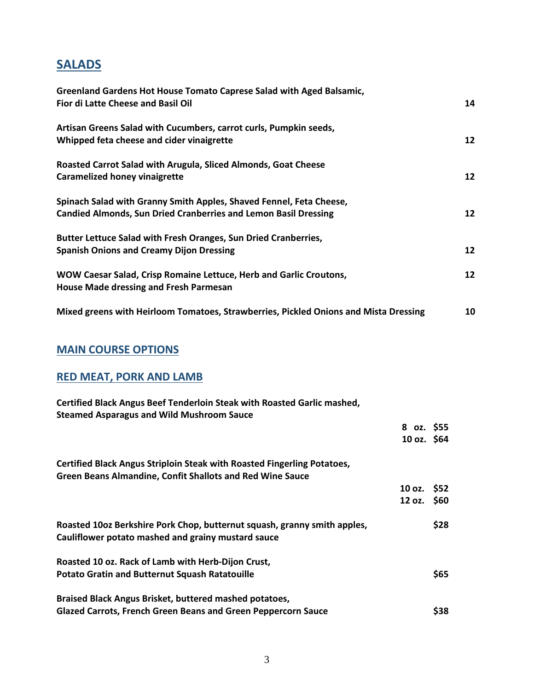## **SALADS**

| Greenland Gardens Hot House Tomato Caprese Salad with Aged Balsamic,<br>Fior di Latte Cheese and Basil Oil                                    |                 |
|-----------------------------------------------------------------------------------------------------------------------------------------------|-----------------|
| Artisan Greens Salad with Cucumbers, carrot curls, Pumpkin seeds,<br>Whipped feta cheese and cider vinaigrette                                | 12              |
| Roasted Carrot Salad with Arugula, Sliced Almonds, Goat Cheese<br><b>Caramelized honey vinaigrette</b>                                        | 12              |
| Spinach Salad with Granny Smith Apples, Shaved Fennel, Feta Cheese,<br><b>Candied Almonds, Sun Dried Cranberries and Lemon Basil Dressing</b> | 12 <sup>2</sup> |
| Butter Lettuce Salad with Fresh Oranges, Sun Dried Cranberries,<br><b>Spanish Onions and Creamy Dijon Dressing</b>                            | 12              |
| WOW Caesar Salad, Crisp Romaine Lettuce, Herb and Garlic Croutons,<br><b>House Made dressing and Fresh Parmesan</b>                           | 12              |
| Mixed greens with Heirloom Tomatoes, Strawberries, Pickled Onions and Mista Dressing                                                          | 10              |

### **MAIN COURSE OPTIONS**

## **RED MEAT, PORK AND LAMB**

| Certified Black Angus Beef Tenderloin Steak with Roasted Garlic mashed,<br><b>Steamed Asparagus and Wild Mushroom Sauce</b>                 |              |      |
|---------------------------------------------------------------------------------------------------------------------------------------------|--------------|------|
|                                                                                                                                             | 8 oz. \$55   |      |
|                                                                                                                                             | 10 oz. $$64$ |      |
| Certified Black Angus Striploin Steak with Roasted Fingerling Potatoes,<br><b>Green Beans Almandine, Confit Shallots and Red Wine Sauce</b> |              |      |
|                                                                                                                                             | 10 oz. \$52  |      |
|                                                                                                                                             | 12 oz. \$60  |      |
| Roasted 10oz Berkshire Pork Chop, butternut squash, granny smith apples,<br>Cauliflower potato mashed and grainy mustard sauce              |              | \$28 |
| Roasted 10 oz. Rack of Lamb with Herb-Dijon Crust,                                                                                          |              |      |
| <b>Potato Gratin and Butternut Squash Ratatouille</b>                                                                                       |              | \$65 |
| Braised Black Angus Brisket, buttered mashed potatoes,                                                                                      |              |      |
| <b>Glazed Carrots, French Green Beans and Green Peppercorn Sauce</b>                                                                        |              | \$38 |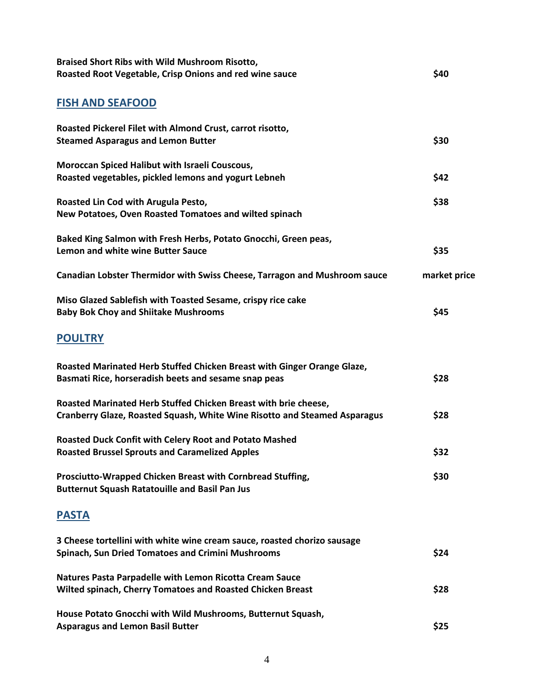| <b>Braised Short Ribs with Wild Mushroom Risotto,</b><br>Roasted Root Vegetable, Crisp Onions and red wine sauce                                    | \$40         |
|-----------------------------------------------------------------------------------------------------------------------------------------------------|--------------|
| <b>FISH AND SEAFOOD</b>                                                                                                                             |              |
| Roasted Pickerel Filet with Almond Crust, carrot risotto,<br><b>Steamed Asparagus and Lemon Butter</b>                                              | \$30         |
| Moroccan Spiced Halibut with Israeli Couscous,<br>Roasted vegetables, pickled lemons and yogurt Lebneh                                              | \$42         |
| Roasted Lin Cod with Arugula Pesto,<br>New Potatoes, Oven Roasted Tomatoes and wilted spinach                                                       | \$38         |
| Baked King Salmon with Fresh Herbs, Potato Gnocchi, Green peas,<br><b>Lemon and white wine Butter Sauce</b>                                         | \$35         |
| Canadian Lobster Thermidor with Swiss Cheese, Tarragon and Mushroom sauce                                                                           | market price |
| Miso Glazed Sablefish with Toasted Sesame, crispy rice cake<br><b>Baby Bok Choy and Shiitake Mushrooms</b>                                          | \$45         |
| <b>POULTRY</b>                                                                                                                                      |              |
| Roasted Marinated Herb Stuffed Chicken Breast with Ginger Orange Glaze,<br>Basmati Rice, horseradish beets and sesame snap peas                     | \$28         |
| Roasted Marinated Herb Stuffed Chicken Breast with brie cheese,<br><b>Cranberry Glaze, Roasted Squash, White Wine Risotto and Steamed Asparagus</b> | \$28         |
| Roasted Duck Confit with Celery Root and Potato Mashed<br><b>Roasted Brussel Sprouts and Caramelized Apples</b>                                     | \$32         |
| Prosciutto-Wrapped Chicken Breast with Cornbread Stuffing,<br><b>Butternut Squash Ratatouille and Basil Pan Jus</b>                                 | \$30         |
| <b>PASTA</b>                                                                                                                                        |              |
| 3 Cheese tortellini with white wine cream sauce, roasted chorizo sausage<br><b>Spinach, Sun Dried Tomatoes and Crimini Mushrooms</b>                | \$24         |
| <b>Natures Pasta Parpadelle with Lemon Ricotta Cream Sauce</b><br>Wilted spinach, Cherry Tomatoes and Roasted Chicken Breast                        | \$28         |
| House Potato Gnocchi with Wild Mushrooms, Butternut Squash,<br><b>Asparagus and Lemon Basil Butter</b>                                              | \$25         |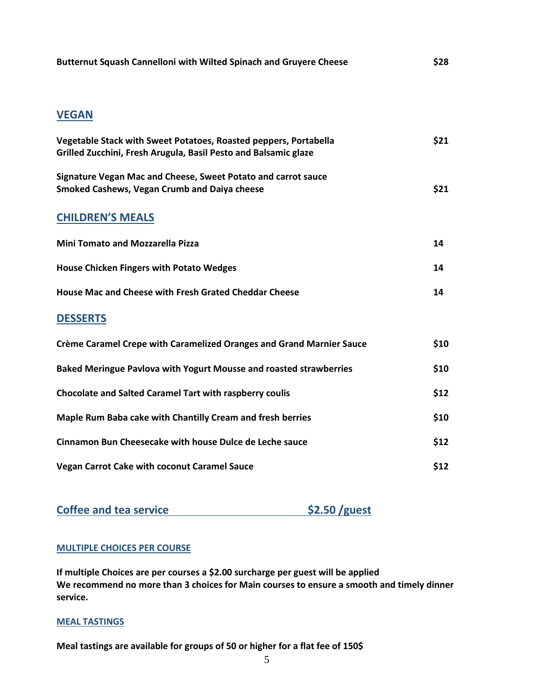| Butternut Squash Cannelloni with Wilted Spinach and Gruyere Cheese | \$28 |
|--------------------------------------------------------------------|------|
|                                                                    |      |

### **VEGAN**

| Vegetable Stack with Sweet Potatoes, Roasted peppers, Portabella<br>Grilled Zucchini, Fresh Arugula, Basil Pesto and Balsamic glaze | \$21 |
|-------------------------------------------------------------------------------------------------------------------------------------|------|
| Signature Vegan Mac and Cheese, Sweet Potato and carrot sauce<br><b>Smoked Cashews, Vegan Crumb and Daiya cheese</b>                | \$21 |
| <b>CHILDREN'S MEALS</b>                                                                                                             |      |
| <b>Mini Tomato and Mozzarella Pizza</b>                                                                                             | 14   |
| <b>House Chicken Fingers with Potato Wedges</b>                                                                                     | 14   |
| House Mac and Cheese with Fresh Grated Cheddar Cheese                                                                               | 14   |
| <b>DESSERTS</b>                                                                                                                     |      |
| <b>Crème Caramel Crepe with Caramelized Oranges and Grand Marnier Sauce</b>                                                         | \$10 |
| Baked Meringue Pavlova with Yogurt Mousse and roasted strawberries                                                                  | \$10 |
| <b>Chocolate and Salted Caramel Tart with raspberry coulis</b>                                                                      | \$12 |
| Maple Rum Baba cake with Chantilly Cream and fresh berries                                                                          | \$10 |
| Cinnamon Bun Cheesecake with house Dulce de Leche sauce                                                                             | \$12 |

**Vegan Carrot Cake with coconut Caramel Sauce \$12**

**Coffee and tea service** \$2.50 /guest

#### **MULTIPLE CHOICES PER COURSE**

**If multiple Choices are per courses a \$2.00 surcharge per guest will be applied We recommend no more than 3 choices for Main courses to ensure a smooth and timely dinner service.**

#### **MEAL TASTINGS**

**Meal tastings are available for groups of 50 or higher for a flat fee of 150\$**